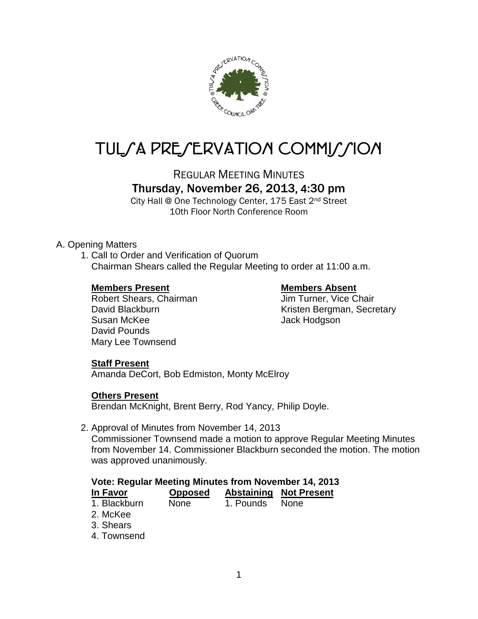

# TUL/A PRE/ERVATION COMMI//ION

REGULAR MEETING MINUTES

# Thursday, November 26, 2013, 4:30 pm

City Hall @ One Technology Center, 175 East 2nd Street 10th Floor North Conference Room

# A. Opening Matters

1. Call to Order and Verification of Quorum Chairman Shears called the Regular Meeting to order at 11:00 a.m.

### **Members Present Members Absent**

Robert Shears, Chairman **Jim Turner**, Vice Chair Susan McKee Jack Hodgson David Pounds Mary Lee Townsend

David Blackburn **Contract Contract Contract Contract Contract Contract Contract Contract Contract Contract Contract Contract Contract Contract Contract Contract Contract Contract Contract Contract Contract Contract Contrac** 

# **Staff Present**

Amanda DeCort, Bob Edmiston, Monty McElroy

# **Others Present**

Brendan McKnight, Brent Berry, Rod Yancy, Philip Doyle.

### 2. Approval of Minutes from November 14, 2013

Commissioner Townsend made a motion to approve Regular Meeting Minutes from November 14. Commissioner Blackburn seconded the motion. The motion was approved unanimously.

| <b>Vote: Regular Meeting Minutes from November 14, 2013</b> |                |           |                               |
|-------------------------------------------------------------|----------------|-----------|-------------------------------|
| In Favor                                                    | <b>Opposed</b> |           | <b>Abstaining Not Present</b> |
| 1. Blackburn                                                | <b>None</b>    | 1. Pounds | <b>None</b>                   |
| 2. McKee                                                    |                |           |                               |
| 3. Shears                                                   |                |           |                               |
| 4. Townsend                                                 |                |           |                               |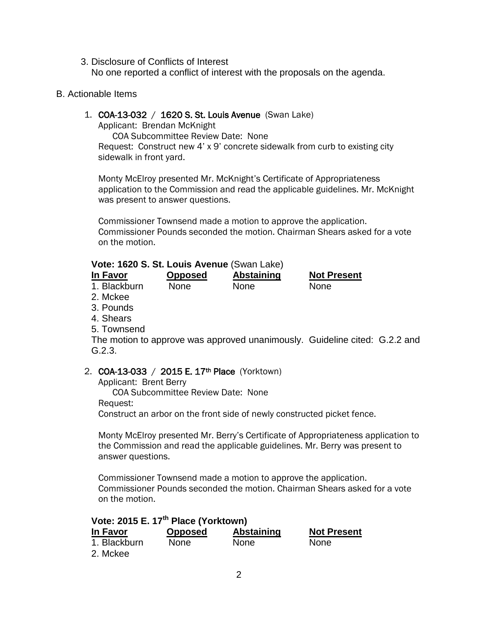3. Disclosure of Conflicts of Interest No one reported a conflict of interest with the proposals on the agenda.

#### B. Actionable Items

#### 1. COA-13-032 / 1620 S. St. Louis Avenue (Swan Lake)

Applicant: Brendan McKnight

COA Subcommittee Review Date: None Request: Construct new 4' x 9' concrete sidewalk from curb to existing city sidewalk in front yard.

Monty McElroy presented Mr. McKnight's Certificate of Appropriateness application to the Commission and read the applicable guidelines. Mr. McKnight was present to answer questions.

Commissioner Townsend made a motion to approve the application. Commissioner Pounds seconded the motion. Chairman Shears asked for a vote on the motion.

# **Vote: 1620 S. St. Louis Avenue** (Swan Lake)

| In Favor     | <b>Opposed</b> | Abstaining  | <b>Not Present</b> |
|--------------|----------------|-------------|--------------------|
| 1. Blackburn | <b>None</b>    | <b>None</b> | <b>None</b>        |

- 2. Mckee
- 3. Pounds
- 4. Shears
- 5. Townsend

The motion to approve was approved unanimously. Guideline cited: G.2.2 and G.2.3.

### 2. **COA-13-033** / **2015 E. 17<sup>th</sup> Place** (Yorktown)

Applicant: Brent Berry COA Subcommittee Review Date: None Request: Construct an arbor on the front side of newly constructed picket fence.

Monty McElroy presented Mr. Berry's Certificate of Appropriateness application to the Commission and read the applicable guidelines. Mr. Berry was present to answer questions.

Commissioner Townsend made a motion to approve the application. Commissioner Pounds seconded the motion. Chairman Shears asked for a vote on the motion.

# **Vote: 2015 E. 17th Place (Yorktown)**

| In Favor     | <b>Opposed</b> | Abstaining  | <b>Not Present</b> |
|--------------|----------------|-------------|--------------------|
| 1. Blackburn | <b>None</b>    | <b>None</b> | <b>None</b>        |
| 2. Mckee     |                |             |                    |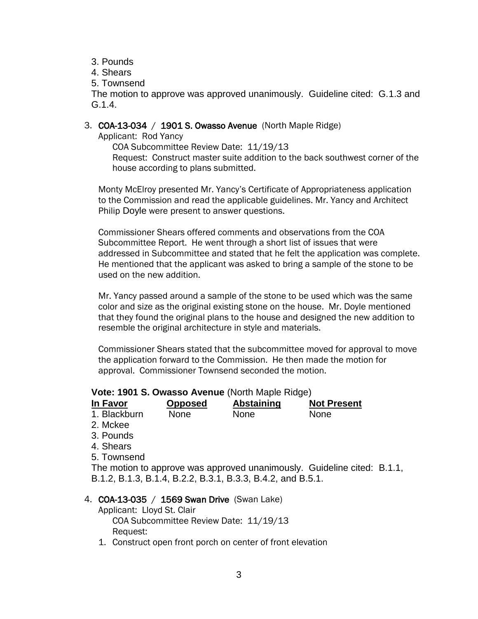- 3. Pounds
- 4. Shears
- 5. Townsend

The motion to approve was approved unanimously. Guideline cited: G.1.3 and G.1.4.

#### 3. COA-13-034 / 1901 S. Owasso Avenue (North Maple Ridge)

Applicant: Rod Yancy

COA Subcommittee Review Date: 11/19/13 Request: Construct master suite addition to the back southwest corner of the house according to plans submitted.

Monty McElroy presented Mr. Yancy's Certificate of Appropriateness application to the Commission and read the applicable guidelines. Mr. Yancy and Architect Philip Doyle were present to answer questions.

Commissioner Shears offered comments and observations from the COA Subcommittee Report. He went through a short list of issues that were addressed in Subcommittee and stated that he felt the application was complete. He mentioned that the applicant was asked to bring a sample of the stone to be used on the new addition.

Mr. Yancy passed around a sample of the stone to be used which was the same color and size as the original existing stone on the house. Mr. Doyle mentioned that they found the original plans to the house and designed the new addition to resemble the original architecture in style and materials.

Commissioner Shears stated that the subcommittee moved for approval to move the application forward to the Commission. He then made the motion for approval. Commissioner Townsend seconded the motion.

### **Vote: 1901 S. Owasso Avenue** (North Maple Ridge)

| In Favor     | <b>Opposed</b> | Abstaining  | <b>Not Present</b> |
|--------------|----------------|-------------|--------------------|
| 1. Blackburn | <b>None</b>    | <b>None</b> | <b>None</b>        |

- 2. Mckee
- 3. Pounds
- 4. Shears
- 5. Townsend

The motion to approve was approved unanimously. Guideline cited: B.1.1, B.1.2, B.1.3, B.1.4, B.2.2, B.3.1, B.3.3, B.4.2, and B.5.1.

### 4. COA-13-035 / 1569 Swan Drive (Swan Lake)

Applicant: Lloyd St. Clair COA Subcommittee Review Date: 11/19/13 Request:

1. Construct open front porch on center of front elevation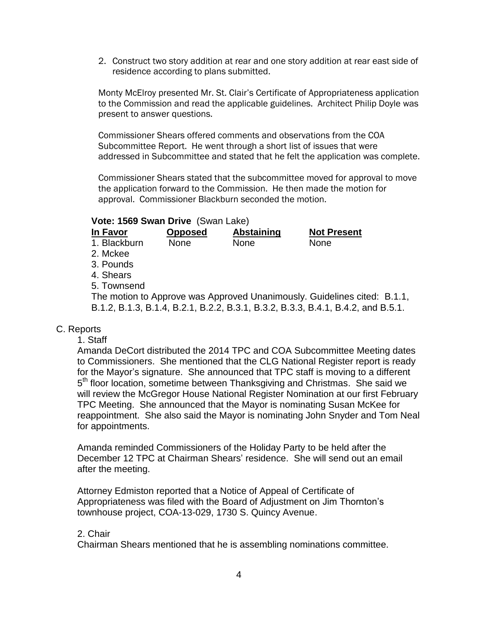2. Construct two story addition at rear and one story addition at rear east side of residence according to plans submitted.

Monty McElroy presented Mr. St. Clair's Certificate of Appropriateness application to the Commission and read the applicable guidelines. Architect Philip Doyle was present to answer questions.

Commissioner Shears offered comments and observations from the COA Subcommittee Report. He went through a short list of issues that were addressed in Subcommittee and stated that he felt the application was complete.

Commissioner Shears stated that the subcommittee moved for approval to move the application forward to the Commission. He then made the motion for approval. Commissioner Blackburn seconded the motion.

#### **Vote: 1569 Swan Drive** (Swan Lake)

| In Favor     | <b>Opposed</b> | <b>Abstaining</b> | <b>Not Present</b>                                                               |  |
|--------------|----------------|-------------------|----------------------------------------------------------------------------------|--|
| 1. Blackburn | <b>None</b>    | <b>None</b>       | <b>None</b>                                                                      |  |
| 2. Mckee     |                |                   |                                                                                  |  |
| 3. Pounds    |                |                   |                                                                                  |  |
| 4. Shears    |                |                   |                                                                                  |  |
| 5. Townsend  |                |                   |                                                                                  |  |
|              |                |                   | The motion to Approve was Approved Unanimously. Guidelines cited: B.1.1,         |  |
|              |                |                   | B.1.2, B.1.3, B.1.4, B.2.1, B.2.2, B.3.1, B.3.2, B.3.3, B.4.1, B.4.2, and B.5.1. |  |

### C. Reports

#### 1. Staff

Amanda DeCort distributed the 2014 TPC and COA Subcommittee Meeting dates to Commissioners. She mentioned that the CLG National Register report is ready for the Mayor's signature. She announced that TPC staff is moving to a different 5<sup>th</sup> floor location, sometime between Thanksgiving and Christmas. She said we will review the McGregor House National Register Nomination at our first February TPC Meeting. She announced that the Mayor is nominating Susan McKee for reappointment. She also said the Mayor is nominating John Snyder and Tom Neal for appointments.

Amanda reminded Commissioners of the Holiday Party to be held after the December 12 TPC at Chairman Shears' residence. She will send out an email after the meeting.

Attorney Edmiston reported that a Notice of Appeal of Certificate of Appropriateness was filed with the Board of Adjustment on Jim Thornton's townhouse project, COA-13-029, 1730 S. Quincy Avenue.

#### 2. Chair

Chairman Shears mentioned that he is assembling nominations committee.